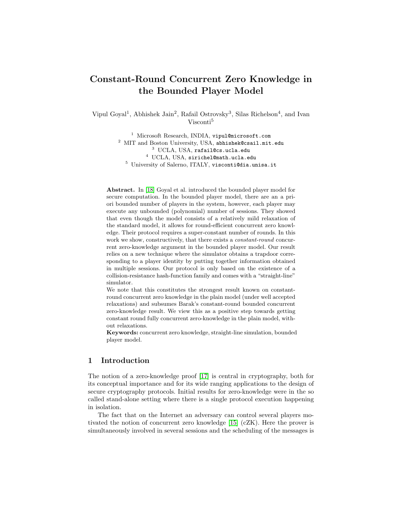# Constant-Round Concurrent Zero Knowledge in the Bounded Player Model

Vipul Goyal<sup>1</sup>, Abhishek Jain<sup>2</sup>, Rafail Ostrovsky<sup>3</sup>, Silas Richelson<sup>4</sup>, and Ivan Visconti<sup>5</sup>

> <sup>1</sup> Microsoft Research, INDIA, vipul@microsoft.com MIT and Boston University, USA, abhishek@csail.mit.edu UCLA, USA, rafail@cs.ucla.edu UCLA, USA, sirichel@math.ucla.edu University of Salerno, ITALY, visconti@dia.unisa.it

Abstract. In [\[18\]](#page-18-0) Goyal et al. introduced the bounded player model for secure computation. In the bounded player model, there are an a priori bounded number of players in the system, however, each player may execute any unbounded (polynomial) number of sessions. They showed that even though the model consists of a relatively mild relaxation of the standard model, it allows for round-efficient concurrent zero knowledge. Their protocol requires a super-constant number of rounds. In this work we show, constructively, that there exists a *constant-round* concurrent zero-knowledge argument in the bounded player model. Our result relies on a new technique where the simulator obtains a trapdoor corresponding to a player identity by putting together information obtained in multiple sessions. Our protocol is only based on the existence of a collision-resistance hash-function family and comes with a "straight-line" simulator.

We note that this constitutes the strongest result known on constantround concurrent zero knowledge in the plain model (under well accepted relaxations) and subsumes Barak's constant-round bounded concurrent zero-knowledge result. We view this as a positive step towards getting constant round fully concurrent zero-knowledge in the plain model, without relaxations.

Keywords: concurrent zero knowledge, straight-line simulation, bounded player model.

# 1 Introduction

The notion of a zero-knowledge proof [\[17\]](#page-18-1) is central in cryptography, both for its conceptual importance and for its wide ranging applications to the design of secure cryptography protocols. Initial results for zero-knowledge were in the so called stand-alone setting where there is a single protocol execution happening in isolation.

The fact that on the Internet an adversary can control several players motivated the notion of concurrent zero knowledge [\[15\]](#page-18-2) (cZK). Here the prover is simultaneously involved in several sessions and the scheduling of the messages is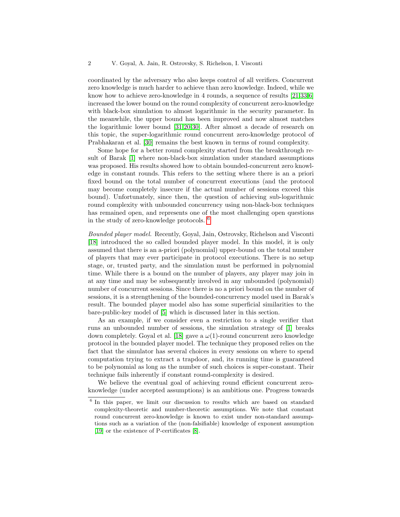coordinated by the adversary who also keeps control of all verifiers. Concurrent zero knowledge is much harder to achieve than zero knowledge. Indeed, while we know how to achieve zero-knowledge in 4 rounds, a sequence of results [\[21,](#page-18-3)[33,](#page-19-0)[6\]](#page-17-0) increased the lower bound on the round complexity of concurrent zero-knowledge with black-box simulation to almost logarithmic in the security parameter. In the meanwhile, the upper bound has been improved and now almost matches the logarithmic lower bound [\[31,](#page-19-1)[20](#page-18-4)[,30\]](#page-19-2). After almost a decade of research on this topic, the super-logarithmic round concurrent zero-knowledge protocol of Prabhakaran et al. [\[30\]](#page-19-2) remains the best known in terms of round complexity.

Some hope for a better round complexity started from the breakthrough result of Barak [\[1\]](#page-17-1) where non-black-box simulation under standard assumptions was proposed. His results showed how to obtain bounded-concurrent zero knowledge in constant rounds. This refers to the setting where there is an a priori fixed bound on the total number of concurrent executions (and the protocol may become completely insecure if the actual number of sessions exceed this bound). Unfortunately, since then, the question of achieving sub-logarithmic round complexity with unbounded concurrency using non-black-box techniques has remained open, and represents one of the most challenging open questions in the study of zero-knowledge protocols. [6](#page-1-0)

Bounded player model. Recently, Goyal, Jain, Ostrovsky, Richelson and Visconti [\[18\]](#page-18-0) introduced the so called bounded player model. In this model, it is only assumed that there is an a-priori (polynomial) upper-bound on the total number of players that may ever participate in protocol executions. There is no setup stage, or, trusted party, and the simulation must be performed in polynomial time. While there is a bound on the number of players, any player may join in at any time and may be subsequently involved in any unbounded (polynomial) number of concurrent sessions. Since there is no a priori bound on the number of sessions, it is a strengthening of the bounded-concurrency model used in Barak's result. The bounded player model also has some superficial similarities to the bare-public-key model of [\[5\]](#page-17-2) which is discussed later in this section.

As an example, if we consider even a restriction to a single verifier that runs an unbounded number of sessions, the simulation strategy of [\[1\]](#page-17-1) breaks down completely. Goyal et al. [\[18\]](#page-18-0) gave a  $\omega(1)$ -round concurrent zero knowledge protocol in the bounded player model. The technique they proposed relies on the fact that the simulator has several choices in every sessions on where to spend computation trying to extract a trapdoor, and, its running time is guaranteed to be polynomial as long as the number of such choices is super-constant. Their technique fails inherently if constant round-complexity is desired.

We believe the eventual goal of achieving round efficient concurrent zeroknowledge (under accepted assumptions) is an ambitious one. Progress towards

<span id="page-1-0"></span><sup>&</sup>lt;sup>6</sup> In this paper, we limit our discussion to results which are based on standard complexity-theoretic and number-theoretic assumptions. We note that constant round concurrent zero-knowledge is known to exist under non-standard assumptions such as a variation of the (non-falsifiable) knowledge of exponent assumption [\[19\]](#page-18-5) or the existence of P-certificates [\[8\]](#page-18-6).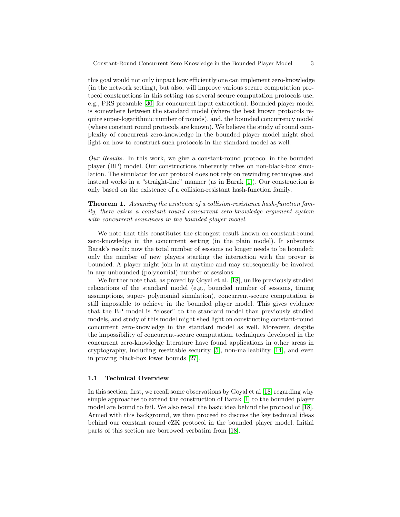this goal would not only impact how efficiently one can implement zero-knowledge (in the network setting), but also, will improve various secure computation protocol constructions in this setting (as several secure computation protocols use, e.g., PRS preamble [\[30\]](#page-19-2) for concurrent input extraction). Bounded player model is somewhere between the standard model (where the best known protocols require super-logarithmic number of rounds), and, the bounded concurrency model (where constant round protocols are known). We believe the study of round complexity of concurrent zero-knowledge in the bounded player model might shed light on how to construct such protocols in the standard model as well.

Our Results. In this work, we give a constant-round protocol in the bounded player (BP) model. Our constructions inherently relies on non-black-box simulation. The simulator for our protocol does not rely on rewinding techniques and instead works in a "straight-line" manner (as in Barak [\[1\]](#page-17-1)). Our construction is only based on the existence of a collision-resistant hash-function family.

Theorem 1. Assuming the existence of a collision-resistance hash-function family, there exists a constant round concurrent zero-knowledge argument system with concurrent soundness in the bounded player model.

We note that this constitutes the strongest result known on constant-round zero-knowledge in the concurrent setting (in the plain model). It subsumes Barak's result: now the total number of sessions no longer needs to be bounded; only the number of new players starting the interaction with the prover is bounded. A player might join in at anytime and may subsequently be involved in any unbounded (polynomial) number of sessions.

We further note that, as proved by Goyal et al. [\[18\]](#page-18-0), unlike previously studied relaxations of the standard model (e.g., bounded number of sessions, timing assumptions, super- polynomial simulation), concurrent-secure computation is still impossible to achieve in the bounded player model. This gives evidence that the BP model is "closer" to the standard model than previously studied models, and study of this model might shed light on constructing constant-round concurrent zero-knowledge in the standard model as well. Moreover, despite the impossibility of concurrent-secure computation, techniques developed in the concurrent zero-knowledge literature have found applications in other areas in cryptography, including resettable security [\[5\]](#page-17-2), non-malleability [\[14\]](#page-18-7), and even in proving black-box lower bounds [\[27\]](#page-18-8).

#### 1.1 Technical Overview

In this section, first, we recall some observations by Goyal et al [\[18\]](#page-18-0) regarding why simple approaches to extend the construction of Barak [\[1\]](#page-17-1) to the bounded player model are bound to fail. We also recall the basic idea behind the protocol of [\[18\]](#page-18-0). Armed with this background, we then proceed to discuss the key technical ideas behind our constant round cZK protocol in the bounded player model. Initial parts of this section are borrowed verbatim from [\[18\]](#page-18-0).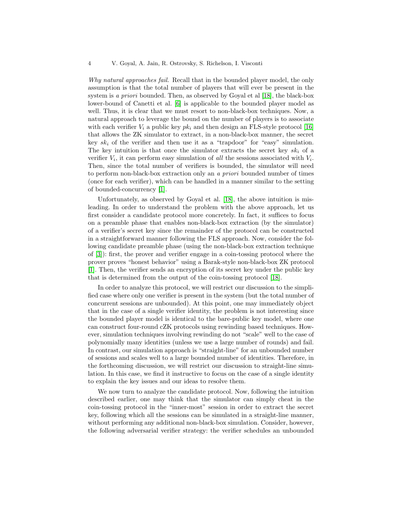Why natural approaches fail. Recall that in the bounded player model, the only assumption is that the total number of players that will ever be present in the system is a priori bounded. Then, as observed by Goyal et al [\[18\]](#page-18-0), the black-box lower-bound of Canetti et al. [\[6\]](#page-17-0) is applicable to the bounded player model as well. Thus, it is clear that we must resort to non-black-box techniques. Now, a natural approach to leverage the bound on the number of players is to associate with each verifier  $V_i$  a public key  $pk_i$  and then design an FLS-style protocol [\[16\]](#page-18-9) that allows the ZK simulator to extract, in a non-black-box manner, the secret key  $sk_i$  of the verifier and then use it as a "trapdoor" for "easy" simulation. The key intuition is that once the simulator extracts the secret key  $sk_i$  of a verifier  $V_i$ , it can perform easy simulation of all the sessions associated with  $V_i$ . Then, since the total number of verifiers is bounded, the simulator will need to perform non-black-box extraction only an a priori bounded number of times (once for each verifier), which can be handled in a manner similar to the setting of bounded-concurrency [\[1\]](#page-17-1).

Unfortunately, as observed by Goyal et al. [\[18\]](#page-18-0), the above intuition is misleading. In order to understand the problem with the above approach, let us first consider a candidate protocol more concretely. In fact, it suffices to focus on a preamble phase that enables non-black-box extraction (by the simulator) of a verifier's secret key since the remainder of the protocol can be constructed in a straightforward manner following the FLS approach. Now, consider the following candidate preamble phase (using the non-black-box extraction technique of [\[3\]](#page-17-3)): first, the prover and verifier engage in a coin-tossing protocol where the prover proves "honest behavior" using a Barak-style non-black-box ZK protocol [\[1\]](#page-17-1). Then, the verifier sends an encryption of its secret key under the public key that is determined from the output of the coin-tossing protocol [\[18\]](#page-18-0).

In order to analyze this protocol, we will restrict our discussion to the simplified case where only one verifier is present in the system (but the total number of concurrent sessions are unbounded). At this point, one may immediately object that in the case of a single verifier identity, the problem is not interesting since the bounded player model is identical to the bare-public key model, where one can construct four-round cZK protocols using rewinding based techniques. However, simulation techniques involving rewinding do not "scale" well to the case of polynomially many identities (unless we use a large number of rounds) and fail. In contrast, our simulation approach is "straight-line" for an unbounded number of sessions and scales well to a large bounded number of identities. Therefore, in the forthcoming discussion, we will restrict our discussion to straight-line simulation. In this case, we find it instructive to focus on the case of a single identity to explain the key issues and our ideas to resolve them.

We now turn to analyze the candidate protocol. Now, following the intuition described earlier, one may think that the simulator can simply cheat in the coin-tossing protocol in the "inner-most" session in order to extract the secret key, following which all the sessions can be simulated in a straight-line manner, without performing any additional non-black-box simulation. Consider, however, the following adversarial verifier strategy: the verifier schedules an unbounded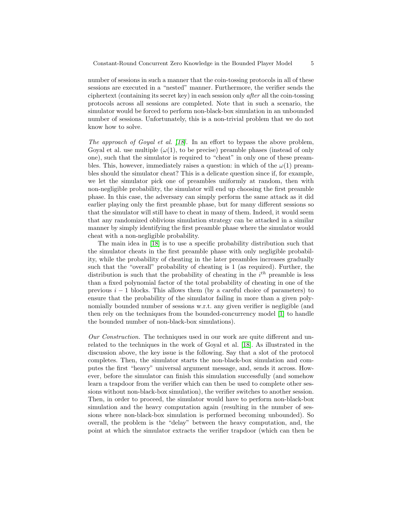number of sessions in such a manner that the coin-tossing protocols in all of these sessions are executed in a "nested" manner. Furthermore, the verifier sends the ciphertext (containing its secret key) in each session only after all the coin-tossing protocols across all sessions are completed. Note that in such a scenario, the simulator would be forced to perform non-black-box simulation in an unbounded number of sessions. Unfortunately, this is a non-trivial problem that we do not know how to solve.

The approach of Goyal et al. [\[18\]](#page-18-0). In an effort to bypass the above problem, Goyal et al. use multiple  $(\omega(1))$ , to be precise) preamble phases (instead of only one), such that the simulator is required to "cheat" in only one of these preambles. This, however, immediately raises a question: in which of the  $\omega(1)$  preambles should the simulator cheat? This is a delicate question since if, for example, we let the simulator pick one of preambles uniformly at random, then with non-negligible probability, the simulator will end up choosing the first preamble phase. In this case, the adversary can simply perform the same attack as it did earlier playing only the first preamble phase, but for many different sessions so that the simulator will still have to cheat in many of them. Indeed, it would seem that any randomized oblivious simulation strategy can be attacked in a similar manner by simply identifying the first preamble phase where the simulator would cheat with a non-negligible probability.

The main idea in [\[18\]](#page-18-0) is to use a specific probability distribution such that the simulator cheats in the first preamble phase with only negligible probability, while the probability of cheating in the later preambles increases gradually such that the "overall" probability of cheating is 1 (as required). Further, the distribution is such that the probability of cheating in the  $i<sup>th</sup>$  preamble is less than a fixed polynomial factor of the total probability of cheating in one of the previous  $i - 1$  blocks. This allows them (by a careful choice of parameters) to ensure that the probability of the simulator failing in more than a given polynomially bounded number of sessions w.r.t. any given verifier is negligible (and then rely on the techniques from the bounded-concurrency model [\[1\]](#page-17-1) to handle the bounded number of non-black-box simulations).

Our Construction. The techniques used in our work are quite different and unrelated to the techniques in the work of Goyal et al. [\[18\]](#page-18-0). As illustrated in the discussion above, the key issue is the following. Say that a slot of the protocol completes. Then, the simulator starts the non-black-box simulation and computes the first "heavy" universal argument message, and, sends it across. However, before the simulator can finish this simulation successfully (and somehow learn a trapdoor from the verifier which can then be used to complete other sessions without non-black-box simulation), the verifier switches to another session. Then, in order to proceed, the simulator would have to perform non-black-box simulation and the heavy computation again (resulting in the number of sessions where non-black-box simulation is performed becoming unbounded). So overall, the problem is the "delay" between the heavy computation, and, the point at which the simulator extracts the verifier trapdoor (which can then be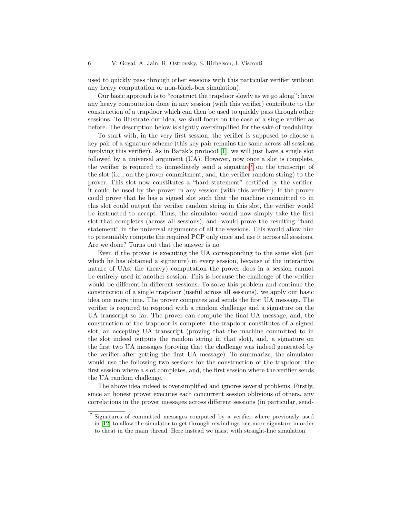used to quickly pass through other sessions with this particular verifier without any heavy computation or non-black-box simulation).

Our basic approach is to "construct the trapdoor slowly as we go along": have any heavy computation done in any session (with this verifier) contribute to the construction of a trapdoor which can then be used to quickly pass through other sessions. To illustrate our idea, we shall focus on the case of a single verifier as before. The description below is slightly oversimplified for the sake of readability.

To start with, in the very first session, the verifier is supposed to choose a key pair of a signature scheme (this key pair remains the same across all sessions involving this verifier). As in Barak's protocol [\[1\]](#page-17-1), we will just have a single slot followed by a universal argument (UA). However, now once a slot is complete, the verifier is required to immediately send a signature<sup>[7](#page-5-0)</sup> on the transcript of the slot (i.e., on the prover commitment, and, the verifier random string) to the prover. This slot now constitutes a "hard statement" certified by the verifier: it could be used by the prover in any session (with this verifier). If the prover could prove that he has a signed slot such that the machine committed to in this slot could output the verifier random string in this slot, the verifier would be instructed to accept. Thus, the simulator would now simply take the first slot that completes (across all sessions), and, would prove the resulting "hard statement" in the universal arguments of all the sessions. This would allow him to presumably compute the required PCP only once and use it across all sessions. Are we done? Turns out that the answer is no.

Even if the prover is executing the UA corresponding to the same slot (on which he has obtained a signature) in every session, because of the interactive nature of UAs, the (heavy) computation the prover does in a session cannot be entirely used in another session. This is because the challenge of the verifier would be different in different sessions. To solve this problem and continue the construction of a single trapdoor (useful across all sessions), we apply our basic idea one more time. The prover computes and sends the first UA message. The verifier is required to respond with a random challenge and a signature on the UA transcript so far. The prover can compute the final UA message, and, the construction of the trapdoor is complete: the trapdoor constitutes of a signed slot, an accepting UA transcript (proving that the machine committed to in the slot indeed outputs the random string in that slot), and, a signature on the first two UA messages (proving that the challenge was indeed generated by the verifier after getting the first UA message). To summarize, the simulator would use the following two sessions for the construction of the trapdoor: the first session where a slot completes, and, the first session where the verifier sends the UA random challenge.

The above idea indeed is oversimplified and ignores several problems. Firstly, since an honest prover executes each concurrent session oblivious of others, any correlations in the prover messages across different sessions (in particular, send-

<span id="page-5-0"></span><sup>7</sup> Signatures of committed messages computed by a verifier where previously used in [\[12\]](#page-18-10) to allow the simulator to get through rewindings one more signature in order to cheat in the main thread. Here instead we insist with straight-line simulation.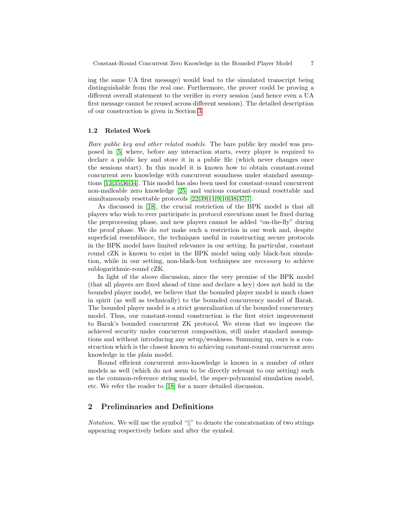ing the same UA first message) would lead to the simulated transcript being distinguishable from the real one. Furthermore, the prover could be proving a different overall statement to the verifier in every session (and hence even a UA first message cannot be reused across different sessions). The detailed description of our construction is given in Section [3.](#page-9-0)

#### 1.2 Related Work

Bare public key and other related models. The bare public key model was proposed in [\[5\]](#page-17-2) where, before any interaction starts, every player is required to declare a public key and store it in a public file (which never changes once the sessions start). In this model it is known how to obtain constant-round concurrent zero knowledge with concurrent soundness under standard assumptions [\[13](#page-18-11)[,35,](#page-19-3)[36,](#page-19-4)[34\]](#page-19-5). This model has also been used for constant-round concurrent non-malleable zero knowledge [\[25\]](#page-18-12) and various constant-round resettable and simultaneously resettable protocols  $[22,39,11,9,10,38,37,7]$  $[22,39,11,9,10,38,37,7]$  $[22,39,11,9,10,38,37,7]$  $[22,39,11,9,10,38,37,7]$  $[22,39,11,9,10,38,37,7]$  $[22,39,11,9,10,38,37,7]$  $[22,39,11,9,10,38,37,7]$  $[22,39,11,9,10,38,37,7]$ .

As discussed in [\[18\]](#page-18-0), the crucial restriction of the BPK model is that all players who wish to ever participate in protocol executions must be fixed during the preprocessing phase, and new players cannot be added "on-the-fly" during the proof phase. We do not make such a restriction in our work and, despite superficial resemblance, the techniques useful in constructing secure protocols in the BPK model have limited relevance in our setting. In particular, constant round cZK is known to exist in the BPK model using only black-box simulation, while in our setting, non-black-box techniques are necessary to achieve sublogarithmic-round cZK.

In light of the above discussion, since the very premise of the BPK model (that all players are fixed ahead of time and declare a key) does not hold in the bounded player model, we believe that the bounded player model is much closer in spirit (as well as technically) to the bounded concurrency model of Barak. The bounded player model is a strict generalization of the bounded concurrency model. Thus, our constant-round construction is the first strict improvement to Barak's bounded concurrent ZK protocol. We stress that we improve the achieved security under concurrent composition, still under standard assumptions and without introducing any setup/weakness. Summing up, ours is a construction which is the closest known to achieving constant-round concurrent zero knowledge in the plain model.

Round efficient concurrent zero-knowledge is known in a number of other models as well (which do not seem to be directly relevant to our setting) such as the common-reference string model, the super-polynomial simulation model, etc. We refer the reader to [\[18\]](#page-18-0) for a more detailed discussion.

# 2 Preliminaries and Definitions

Notation. We will use the symbol "||" to denote the concatenation of two strings appearing respectively before and after the symbol.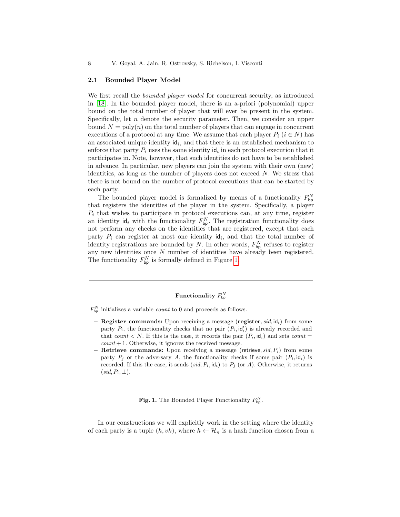8 V. Goyal, A. Jain, R. Ostrovsky, S. Richelson, I. Visconti

#### 2.1 Bounded Player Model

We first recall the *bounded player model* for concurrent security, as introduced in [\[18\]](#page-18-0). In the bounded player model, there is an a-priori (polynomial) upper bound on the total number of player that will ever be present in the system. Specifically, let  $n$  denote the security parameter. Then, we consider an upper bound  $N = \text{poly}(n)$  on the total number of players that can engage in concurrent executions of a protocol at any time. We assume that each player  $P_i$  ( $i \in N$ ) has an associated unique identity  $\mathsf{id}_i$ , and that there is an established mechanism to enforce that party  $P_i$  uses the same identity  $\mathsf{id}_i$  in each protocol execution that it participates in. Note, however, that such identities do not have to be established in advance. In particular, new players can join the system with their own (new) identities, as long as the number of players does not exceed  $N$ . We stress that there is not bound on the number of protocol executions that can be started by each party.

The bounded player model is formalized by means of a functionality  $F_{\mathsf{bp}}^N$ that registers the identities of the player in the system. Specifically, a player  $P_i$  that wishes to participate in protocol executions can, at any time, register an identity  $\mathsf{id}_i$  with the functionality  $F^N_{\mathsf{bp}}$ . The registration functionality does not perform any checks on the identities that are registered, except that each party  $P_i$  can register at most one identity  $\mathsf{id}_i$ , and that the total number of identity registrations are bounded by N. In other words,  $F_{\mathsf{bp}}^N$  refuses to register any new identities once N number of identities have already been registered. The functionality  $F_{\mathsf{bp}}^N$  is formally defined in Figure [1.](#page-7-0)

# $\rm Functionality\,\, \it{F}_{bp}^N$

 $F_{\mathsf{bp}}^N$  initializes a variable *count* to 0 and proceeds as follows.

- Register commands: Upon receiving a message (register,  $sid_i$ , id<sub>i</sub>) from some party  $P_i$ , the functionality checks that no pair  $(P_i, id'_i)$  is already recorded and that count  $\lt N$ . If this is the case, it records the pair  $(P_i, id_i)$  and sets count =  $count + 1$ . Otherwise, it ignores the received message.
- **Retrieve commands:** Upon receiving a message (retrieve, sid,  $P_i$ ) from some party  $P_i$  or the adversary A, the functionality checks if some pair  $(P_i, id_i)$  is recorded. If this the case, it sends  $(sid, P_i, id_i)$  to  $P_j$  (or A). Otherwise, it returns  $(sid, P_i, \perp).$

<span id="page-7-0"></span>**Fig. 1.** The Bounded Player Functionality  $F_{\mathsf{bp}}^N$ .

In our constructions we will explicitly work in the setting where the identity of each party is a tuple  $(h, vk)$ , where  $h \leftarrow \mathcal{H}_n$  is a hash function chosen from a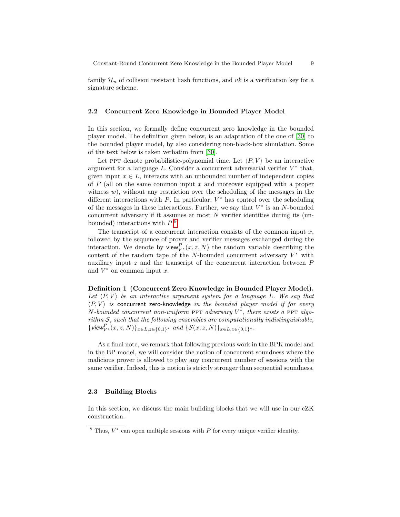family  $\mathcal{H}_n$  of collision resistant hash functions, and vk is a verification key for a signature scheme.

#### 2.2 Concurrent Zero Knowledge in Bounded Player Model

In this section, we formally define concurrent zero knowledge in the bounded player model. The definition given below, is an adaptation of the one of [\[30\]](#page-19-2) to the bounded player model, by also considering non-black-box simulation. Some of the text below is taken verbatim from [\[30\]](#page-19-2).

Let ppt denote probabilistic-polynomial time. Let  $\langle P, V \rangle$  be an interactive argument for a language  $L$ . Consider a concurrent adversarial verifier  $V^*$  that, given input  $x \in L$ , interacts with an unbounded number of independent copies of  $P$  (all on the same common input x and moreover equipped with a proper witness  $w$ ), without any restriction over the scheduling of the messages in the different interactions with  $P$ . In particular,  $V^*$  has control over the scheduling of the messages in these interactions. Further, we say that  $V^*$  is an N-bounded concurrent adversary if it assumes at most N verifier identities during its (unbounded) interactions with  $P.^8$  $P.^8$ 

The transcript of a concurrent interaction consists of the common input  $x$ , followed by the sequence of prover and verifier messages exchanged during the interaction. We denote by  $view_{V^*}^P(x, z, N)$  the random variable describing the content of the random tape of the N-bounded concurrent adversary  $V^*$  with auxiliary input  $z$  and the transcript of the concurrent interaction between  $P$ and  $V^*$  on common input x.

Definition 1 (Concurrent Zero Knowledge in Bounded Player Model). Let  $\langle P, V \rangle$  be an interactive argument system for a language L. We say that  $\langle P, V \rangle$  is concurrent zero-knowledge in the bounded player model if for every  $N$ -bounded concurrent non-uniform PPT adversary  $V^*$ , there exists a PPT algorithm  $S$ , such that the following ensembles are computationally indistinguishable,  ${ \{ \textit{view}_{V^*}^P(x,z,N) \}_{x \in L, z \in \{0,1\}^*} }$  and  ${ \{ \mathcal{S}(x,z,N) \}_{x \in L, z \in \{0,1\}^*} }$ .

As a final note, we remark that following previous work in the BPK model and in the BP model, we will consider the notion of concurrent soundness where the malicious prover is allowed to play any concurrent number of sessions with the same verifier. Indeed, this is notion is strictly stronger than sequential soundness.

### 2.3 Building Blocks

In this section, we discuss the main building blocks that we will use in our cZK construction.

<span id="page-8-0"></span> $8$  Thus,  $V^*$  can open multiple sessions with P for every unique verifier identity.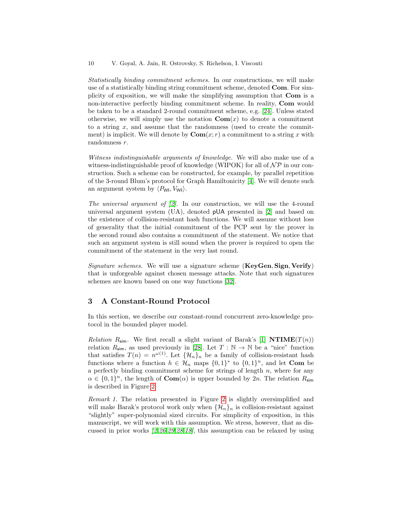Statistically binding commitment schemes. In our constructions, we will make use of a statistically binding string commitment scheme, denoted Com. For simplicity of exposition, we will make the simplifying assumption that Com is a non-interactive perfectly binding commitment scheme. In reality, Com would be taken to be a standard 2-round commitment scheme, e.g. [\[24\]](#page-18-17). Unless stated otherwise, we will simply use the notation  $\text{Com}(x)$  to denote a commitment to a string  $x$ , and assume that the randomness (used to create the commitment) is implicit. We will denote by  $\text{Com}(x; r)$  a commitment to a string x with randomness r.

Witness indistinguishable arguments of knowledge. We will also make use of a witness-indistinguishable proof of knowledge (WIPOK) for all of  $\mathcal{NP}$  in our construction. Such a scheme can be constructed, for example, by parallel repetition of the 3-round Blum's protocol for Graph Hamiltonicity [\[4\]](#page-17-5). We will denote such an argument system by  $\langle P_{\mathsf{W1}}, V_{\mathsf{W1}} \rangle$ .

The universal argument of  $\lbrack 2\rbrack$ . In our construction, we will use the 4-round universal argument system (UA), denoted pUA presented in [\[2\]](#page-17-6) and based on the existence of collision-resistant hash functions. We will assume without loss of generality that the initial commitment of the PCP sent by the prover in the second round also contains a commitment of the statement. We notice that such an argument system is still sound when the prover is required to open the commitment of the statement in the very last round.

Signature schemes. We will use a signature scheme  $(KeyGen, Sign, Verify)$ that is unforgeable against chosen message attacks. Note that such signatures schemes are known based on one way functions [\[32\]](#page-19-9).

# <span id="page-9-0"></span>3 A Constant-Round Protocol

In this section, we describe our constant-round concurrent zero-knowledge protocol in the bounded player model.

Relation R<sub>sim</sub>. We first recall a slight variant of Barak's [\[1\]](#page-17-1) **NTIME** $(T(n))$ relation  $R_{\text{sim}}$ , as used previously in [\[28\]](#page-18-18). Let  $T : \mathbb{N} \to \mathbb{N}$  be a "nice" function that satisfies  $T(n) = n^{\omega(1)}$ . Let  $\{\mathcal{H}_n\}_n$  be a family of collision-resistant hash functions where a function  $h \in \mathcal{H}_n$  maps  $\{0,1\}^*$  to  $\{0,1\}^n$ , and let **Com** be a perfectly binding commitment scheme for strings of length  $n$ , where for any  $\alpha \in \{0,1\}^n$ , the length of  $\mathbf{Com}(\alpha)$  is upper bounded by  $2n$ . The relation  $R_{\text{sim}}$ is described in Figure [2.](#page-10-0)

Remark 1. The relation presented in Figure [2](#page-10-0) is slightly oversimplified and will make Barak's protocol work only when  $\{\mathcal{H}_n\}_n$  is collision-resistant against "slightly" super-polynomial sized circuits. For simplicity of exposition, in this manuscript, we will work with this assumption. We stress, however, that as discussed in prior works [\[2](#page-17-6)[,26](#page-18-19)[,29,](#page-18-20)[28,](#page-18-18)[18\]](#page-18-0), this assumption can be relaxed by using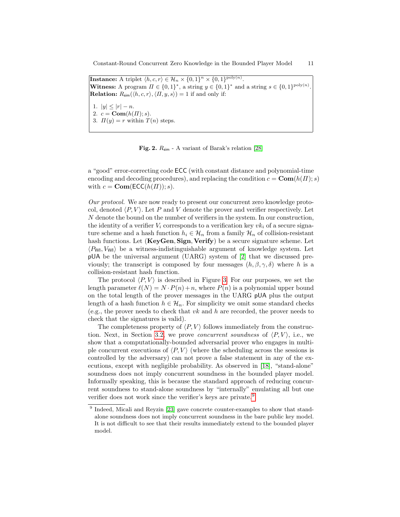**Instance:** A triplet  $\langle h, c, r \rangle \in \mathcal{H}_n \times \{0, 1\}^{n} \times \{0, 1\}^{\text{poly}(n)}$ . **Witness:** A program  $\Pi \in \{0,1\}^*$ , a string  $y \in \{0,1\}^*$  and a string  $s \in \{0,1\}^{\text{poly}(n)}$ . **Relation:**  $R_{\text{sim}}(\langle h, c, r \rangle, \langle H, y, s \rangle) = 1$  if and only if: 1.  $|y| \leq |r| - n$ . 2.  $c = \text{Com}(h(\Pi); s)$ . 3.  $\Pi(y) = r$  within  $T(n)$  steps.

<span id="page-10-0"></span>**Fig. 2.**  $R_{\text{sim}}$  - A variant of Barak's relation [\[28\]](#page-18-18)

a "good" error-correcting code ECC (with constant distance and polynomial-time encoding and decoding procedures), and replacing the condition  $c = \text{Com}(h(\Pi); s)$ with  $c = \text{Com}(\textsf{ECC}(h(\Pi)); s)$ .

Our protocol. We are now ready to present our concurrent zero knowledge protocol, denoted  $\langle P, V \rangle$ . Let P and V denote the prover and verifier respectively. Let N denote the bound on the number of verifiers in the system. In our construction, the identity of a verifier  $V_i$  corresponds to a verification key  $vk_i$  of a secure signature scheme and a hash function  $h_i \in \mathcal{H}_n$  from a family  $\mathcal{H}_n$  of collision-resistant hash functions. Let (KeyGen, Sign, Verify) be a secure signature scheme. Let  $\langle P_{\mathsf{W1}}, V_{\mathsf{W1}} \rangle$  be a witness-indistinguishable argument of knowledge system. Let pUA be the universal argument (UARG) system of [\[2\]](#page-17-6) that we discussed previously; the transcript is composed by four messages  $(h, \beta, \gamma, \delta)$  where h is a collision-resistant hash function.

The protocol  $\langle P, V \rangle$  is described in Figure [3.](#page-11-0) For our purposes, we set the length parameter  $\ell(N) = N \cdot P(n) + n$ , where  $P(n)$  is a polynomial upper bound on the total length of the prover messages in the UARG pUA plus the output length of a hash function  $h \in \mathcal{H}_n$ . For simplicity we omit some standard checks (e.g., the prover needs to check that  $vk$  and  $h$  are recorded, the prover needs to check that the signatures is valid).

The completeness property of  $\langle P, V \rangle$  follows immediately from the construc-tion. Next, in Section [3.2,](#page-15-0) we prove *concurrent soundness* of  $\langle P, V \rangle$ , i.e., we show that a computationally-bounded adversarial prover who engages in multiple concurrent executions of  $\langle P, V \rangle$  (where the scheduling across the sessions is controlled by the adversary) can not prove a false statement in any of the executions, except with negligible probability. As observed in [\[18\]](#page-18-0), "stand-alone" soundness does not imply concurrent soundness in the bounded player model. Informally speaking, this is because the standard approach of reducing concurrent soundness to stand-alone soundness by "internally" emulating all but one verifier does not work since the verifier's keys are private.<sup>[9](#page-10-1)</sup>

<span id="page-10-1"></span><sup>&</sup>lt;sup>9</sup> Indeed, Micali and Reyzin [\[23\]](#page-18-21) gave concrete counter-examples to show that standalone soundness does not imply concurrent soundness in the bare public key model. It is not difficult to see that their results immediately extend to the bounded player model.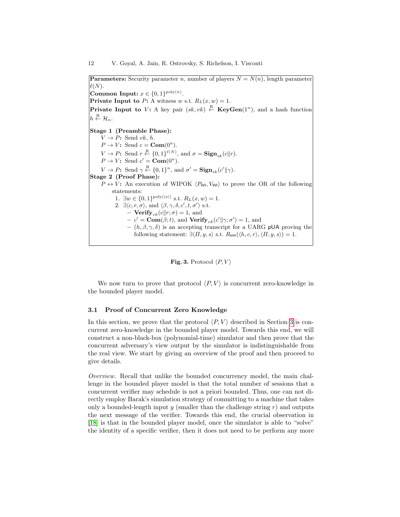**Parameters:** Security parameter n, number of players  $N = N(n)$ , length parameter  $\ell(N).$ Common Input:  $x \in \{0,1\}^{\text{poly}(n)}$ . Private Input to P: A witness w s.t.  $R_L(x, w) = 1$ . **Private Input to** V: A key pair  $(sk, vk) \stackrel{\text{R}}{\leftarrow}$  **KeyGen** $(1^n)$ , and a hash function  $h \stackrel{\text{R}}{\leftarrow} \mathcal{H}_n.$ Stage 1 (Preamble Phase):  $V \rightarrow P$ : Send vk, h.  $P \to V$ : Send  $c = \text{Com}(0^n)$ .  $V \to P$ : Send  $r \stackrel{\text{R}}{\leftarrow} \{0,1\}^{\ell(N)}$ , and  $\sigma = \text{Sign}_{sk}(c||r)$ .  $P \to V$ : Send  $c' = \text{Com}(0^n)$ .  $V \to P$ : Send  $\gamma \stackrel{\text{R}}{\leftarrow} \{0,1\}^n$ , and  $\sigma' = \text{Sign}_{sk}(c'||\gamma)$ . Stage 2 (Proof Phase):  $P \leftrightarrow V$ : An execution of WIPOK  $\langle P_{W1}, V_{W1} \rangle$  to prove the OR of the following statements: 1.  $\exists w \in \{0,1\}^{\text{poly}(|x|)} \text{ s.t. } R_L(x,w) = 1.$ 2.  $\exists \langle c, r, \sigma \rangle$ , and  $\langle \beta, \gamma, \delta, c', t, \sigma' \rangle$  s.t.  $-$  **Verify**<sub>vk</sub> $(c||r; \sigma) = 1$ , and  $-c' = \text{Com}(\beta; t)$ , and  $\text{Verify}_{vk}(c' || \gamma; \sigma') = 1$ , and –  $(h, \beta, \gamma, \delta)$  is an accepting transcript for a UARG pUA proving the following statement:  $\exists \langle \Pi, y, s \rangle$  s.t.  $R_{\text{sim}}(\langle h, c, r \rangle, \langle \Pi, y, s \rangle) = 1.$ 

<span id="page-11-0"></span>

We now turn to prove that protocol  $\langle P, V \rangle$  is concurrent zero-knowledge in the bounded player model.

### 3.1 Proof of Concurrent Zero Knowledge

In this section, we prove that the protocol  $\langle P, V \rangle$  described in Section [3](#page-9-0) is concurrent zero-knowledge in the bounded player model. Towards this end, we will construct a non-black-box (polynomial-time) simulator and then prove that the concurrent adversary's view output by the simulator is indistinguishable from the real view. We start by giving an overview of the proof and then proceed to give details.

Overview. Recall that unlike the bounded concurrency model, the main challenge in the bounded player model is that the total number of sessions that a concurrent verifier may schedule is not a priori bounded. Thus, one can not directly employ Barak's simulation strategy of committing to a machine that takes only a bounded-length input y (smaller than the challenge string r) and outputs the next message of the verifier. Towards this end, the crucial observation in [\[18\]](#page-18-0) is that in the bounded player model, once the simulator is able to "solve" the identity of a specific verifier, then it does not need to be perform any more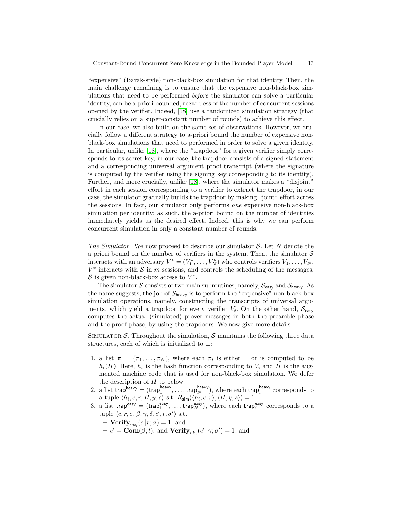"expensive" (Barak-style) non-black-box simulation for that identity. Then, the main challenge remaining is to ensure that the expensive non-black-box simulations that need to be performed before the simulator can solve a particular identity, can be a-priori bounded, regardless of the number of concurrent sessions opened by the verifier. Indeed, [\[18\]](#page-18-0) use a randomized simulation strategy (that crucially relies on a super-constant number of rounds) to achieve this effect.

In our case, we also build on the same set of observations. However, we crucially follow a different strategy to a-priori bound the number of expensive nonblack-box simulations that need to performed in order to solve a given identity. In particular, unlike [\[18\]](#page-18-0), where the "trapdoor" for a given verifier simply corresponds to its secret key, in our case, the trapdoor consists of a signed statement and a corresponding universal argument proof transcript (where the signature is computed by the verifier using the signing key corresponding to its identity). Further, and more crucially, unlike [\[18\]](#page-18-0), where the simulator makes a "disjoint" effort in each session corresponding to a verifier to extract the trapdoor, in our case, the simulator gradually builds the trapdoor by making "joint" effort across the sessions. In fact, our simulator only performs one expensive non-black-box simulation per identity; as such, the a-priori bound on the number of identities immediately yields us the desired effect. Indeed, this is why we can perform concurrent simulation in only a constant number of rounds.

The Simulator. We now proceed to describe our simulator  $S$ . Let N denote the a priori bound on the number of verifiers in the system. Then, the simulator  $S$ interacts with an adversary  $V^* = (V_1^*, \ldots, V_N^*)$  who controls verifiers  $V_1, \ldots, V_N$ .  $V^*$  interacts with  $S$  in  $m$  sessions, and controls the scheduling of the messages. S is given non-black-box access to  $V^*$ .

The simulator S consists of two main subroutines, namely,  $S_{\text{easy}}$  and  $S_{\text{heavy}}$ . As the name suggests, the job of  $S_{\text{heavy}}$  is to perform the "expensive" non-black-box simulation operations, namely, constructing the transcripts of universal arguments, which yield a trapdoor for every verifier  $V_i$ . On the other hand,  $S_{\text{easy}}$ computes the actual (simulated) prover messages in both the preamble phase and the proof phase, by using the trapdoors. We now give more details.

SIMULATOR S. Throughout the simulation, S maintains the following three data structures, each of which is initialized to ⊥:

- 1. a list  $\pi = (\pi_1, \ldots, \pi_N)$ , where each  $\pi_i$  is either  $\perp$  or is computed to be  $h_i(\Pi)$ . Here,  $h_i$  is the hash function corresponding to  $V_i$  and  $\Pi$  is the augmented machine code that is used for non-black-box simulation. We defer the description of  $\Pi$  to below.
- 2. a list trap<sup>heavy</sup> =  $(\text{trap}_1^{\text{heavy}}, \dots, \text{trap}_N^{\text{heavy}})$ , where each trap<sup>heavy</sup> corresponds to a tuple  $\langle h_i, c, r, \Pi, y, s \rangle$  s.t.  $R_{\mathsf{sim}}(\langle h_i, c, r \rangle, \langle \Pi, y, s \rangle) = 1$ .
- 3. a list trap<sup>easy</sup> = (trap<sup>easy</sup>,...,trap<sup>easy</sup>), where each trap<sup>easy</sup> corresponds to a tuple  $\langle c, r, \sigma, \beta, \gamma, \delta, c', t, \sigma' \rangle$  s.t.
	- $-$  **Verify**<sub>vk<sub>i</sub></sub> $(c||r; \sigma) = 1$ , and
	- $-c' = \text{Com}(\beta; t)$ , and  $\text{Verify}_{vk_i}(c' || \gamma; \sigma') = 1$ , and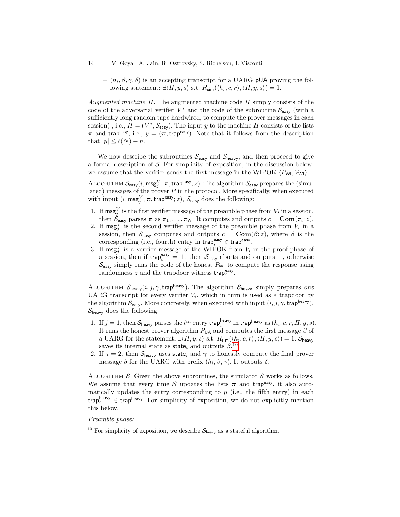- 14 V. Goyal, A. Jain, R. Ostrovsky, S. Richelson, I. Visconti
	- $(h_i, \beta, \gamma, \delta)$  is an accepting transcript for a UARG pUA proving the following statement:  $\exists \langle \Pi, y, s \rangle$  s.t.  $R_{\sf sim}(\langle h_i, c, r \rangle, \langle \Pi, y, s \rangle) = 1$ .

Augmented machine  $\Pi$ . The augmented machine code  $\Pi$  simply consists of the code of the adversarial verifier  $V^*$  and the code of the subroutine  $\mathcal{S}_{\text{easy}}$  (with a sufficiently long random tape hardwired, to compute the prover messages in each session), i.e.,  $\Pi = (V^*, \mathcal{S}_{\text{easy}})$ . The input y to the machine  $\Pi$  consists of the lists  $\pi$  and trapeasy, i.e.,  $y = (\pi, \text{trap}^{\text{easy}})$ . Note that it follows from the description that  $|y| \leq \ell(N) - n$ .

We now describe the subroutines  $S_{\text{easy}}$  and  $S_{\text{heavy}}$ , and then proceed to give a formal description of S. For simplicity of exposition, in the discussion below, we assume that the verifier sends the first message in the WIPOK  $\langle P_{\text{WI}}, V_{\text{WI}} \rangle$ .

ALGORITHM  $\mathcal{S}_{\sf easy}(i, \mathsf{msg}_j^V, \pi, \mathsf{trap}^{\sf easy}; z)$ . The algorithm  $\mathcal{S}_{\sf easy}$  prepares the (simulated) messages of the prover  $P$  in the protocol. More specifically, when executed with input  $(i, \mathsf{msg}_j^V, \pi, \mathsf{trap}^{\mathsf{easy}}; z)$ ,  $\mathcal{S}_{\mathsf{easy}}$  does the following:

- 1. If  $\mathsf{msg}_j^V$  is the first verifier message of the preamble phase from  $V_i$  in a session, then  $\tilde{S}_{\text{easy}}$  parses  $\pi$  as  $\pi_1, \ldots, \pi_N$ . It computes and outputs  $c = \text{Com}(\pi_i; z)$ .
- 2. If msg<sub>j</sub> is the second verifier message of the preamble phase from  $\dot{V}_i$  in a session, then  $\mathcal{S}_{\text{easy}}$  computes and outputs  $c = \text{Com}(\beta; z)$ , where  $\beta$  is the corresponding (i.e., fourth) entry in  $\text{trap}^{\text{easy}}_i \in \text{trap}^{\text{easy}}$ .
- 3. If msg<sub>j</sub> is a verifier message of the WIPOK from  $V_i$  in the proof phase of a session, then if trap<sup>easy</sup> =  $\perp$ , then  $S_{\text{easy}}$  aborts and outputs  $\perp$ , otherwise  $\mathcal{S}_{\text{easy}}$  simply runs the code of the honest  $P_{\text{WI}}$  to compute the response using randomness  $z$  and the trapdoor witness trap<sup>easy</sup>.

ALGORITHM  $S_{\text{heavy}}(i, j, \gamma, \text{trap}^{\text{heavy}})$ . The algorithm  $S_{\text{heavy}}$  simply prepares one UARG transcript for every verifier  $V_i$ , which in turn is used as a trapdoor by the algorithm  $\mathcal{S}_{\text{easy}}$ . More concretely, when executed with input  $(i, j, \gamma, \text{trap}^{\text{heavy}})$ ,  $\mathcal{S}_{\text{heavy}}$  does the following:

- 1. If  $j = 1$ , then  $\mathcal{S}_{\mathsf{heavy}}$  parses the  $i^{th}$  entry trap<sup>heavy</sup> in trap<sup>heavy</sup> as  $(h_i, c, r, \Pi, y, s)$ . It runs the honest prover algorithm  $P_{\text{UA}}$  and computes the first message  $\beta$  of a UARG for the statement:  $\exists \langle \Pi, y, s \rangle$  s.t.  $R_{\sf sim}(\langle h_i, c, r \rangle, \langle \Pi, y, s \rangle) = 1$ .  $\mathcal{S}_{\sf heavy}$ saves its internal state as state<sub>i</sub> and outputs  $\beta$ .<sup>[10](#page-13-0)</sup>
- 2. If  $j = 2$ , then  $S_{\text{heavy}}$  uses state<sub>i</sub> and  $\gamma$  to honestly compute the final prover message  $\delta$  for the UARG with prefix  $(h_i, \beta, \gamma)$ . It outputs  $\delta$ .

ALGORITHM S. Given the above subroutines, the simulator  $S$  works as follows. We assume that every time S updates the lists  $\pi$  and trap<sup>easy</sup>, it also automatically updates the entry corresponding to  $y$  (i.e., the fifth entry) in each  $\mathsf{trap}^\mathsf{heavy}_i \in \mathsf{trap}^\mathsf{heavy}$ . For simplicity of exposition, we do not explicitly mention this below.

Preamble phase:

<span id="page-13-0"></span> $\frac{10}{10}$  For simplicity of exposition, we describe  $S_{\text{heavy}}$  as a stateful algorithm.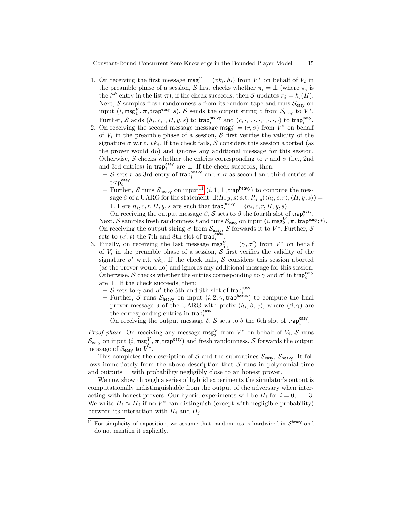- 1. On receiving the first message  $\text{msg}_1^V = (vk_i, h_i)$  from  $V^*$  on behalf of  $V_i$  in the preamble phase of a session, S first checks whether  $\pi_i = \perp$  (where  $\pi_i$  is the *i*<sup>th</sup> entry in the list  $\pi$ ); if the check succeeds, then S updates  $\pi_i = h_i(\Pi)$ . Next,  $S$  samples fresh randomness s from its random tape and runs  $S_{\text{easy}}$  on input  $(i, \text{msg}_1^V, \pi, \text{trap}^{\text{easy}}; s)$ . S sends the output string c from  $\mathcal{S}_{\text{easy}}$  to  $V^*.$ Further, S adds  $(h_i, c, \cdot, \Pi, y, s)$  to trap<sup>heavy</sup> and  $(c, \cdot, \cdot, \cdot, \cdot, \cdot, \cdot, \cdot, \cdot)$  to trap<sup>easy</sup>.
- 2. On receiving the second message message  $\mathsf{msg}_2^V = (r, \sigma)$  from  $V^*$  on behalf of  $V_i$  in the preamble phase of a session,  $S$  first verifies the validity of the signature  $\sigma$  w.r.t.  $vk_i$ . If the check fails,  $\mathcal S$  considers this session aborted (as the prover would do) and ignores any additional message for this session. Otherwise, S checks whether the entries corresponding to r and  $\sigma$  (i.e., 2nd) and 3rd entries) in trap<sup>easy</sup> are  $\perp$ . If the check succeeds, then:
	- $\sim$  S sets r as 3rd entry of trap<sup>heavy</sup> and  $r, \sigma$  as second and third entries of  ${\sf trap}_i^{{\sf easy}}.$
	- Further, S runs  $S_{\text{heavy}}$  on input<sup>[11](#page-14-0)</sup> (i, 1,  $\perp$ , trap<sup>heavy</sup>) to compute the message  $\beta$  of a UARG for the statement:  $\exists \langle \Pi, y, s \rangle$  s.t.  $R_{\mathsf{sim}}(\langle h_i, c, r \rangle, \langle \Pi, y, s \rangle) =$ 1. Here  $h_i, c, r, \Pi, y, s$  are such that  $\text{trap}_i^{\text{heavy}} = \langle h_i, c, r, \Pi, y, s \rangle$ .

- On receiving the output message  $\beta$ , S sets to  $\beta$  the fourth slot of trap<sup>easy</sup>. Next,  $\mathcal S$  samples fresh randomness  $t$  and runs  $\mathcal S_\mathsf{easy}$  on input  $(i, \mathsf{msg}_2^V, \pi, \mathsf{trap}^\mathsf{easy}; t)$ . On receiving the output string c' from  $\mathcal{S}_{\text{easy}}, \mathcal{S}$  forwards it to  $V^*$ . Further,  $\mathcal{S}$ sets to  $(c', t)$  the 7th and 8th slot of trapeasy.

- 3. Finally, on receiving the last message  $\mathsf{msg}_{\mathsf{fin}}^V = (\gamma, \sigma')$  from  $V^*$  on behalf of  $V_i$  in the preamble phase of a session,  $S$  first verifies the validity of the signature  $\sigma'$  w.r.t.  $vk_i$ . If the check fails, S considers this session aborted (as the prover would do) and ignores any additional message for this session. Otherwise,  $\mathcal S$  checks whether the entries corresponding to  $\gamma$  and  $\sigma'$  in trap<sup>easy</sup> are  $\perp$ . If the check succeeds, then:
	- S sets to  $\gamma$  and  $\sigma'$  the 5th and 9th slot of trap<sup>easy</sup>.
	- Further, S runs  $S_{\text{heavy}}$  on input  $(i, 2, \gamma, \text{trap}^{\text{heavy}})$  to compute the final prover message  $\delta$  of the UARG with prefix  $(h_i, \beta, \gamma)$ , where  $(\beta, \gamma)$  are the corresponding entries in  $\text{trap}_i^{\text{easy}}$ .
	- On receiving the output message  $\delta$ , S sets to  $\delta$  the 6th slot of trap<sup>easy</sup>.

*Proof phase:* On receiving any message  $\text{msg}_j^V$  from  $V^*$  on behalf of  $V_i$ , S runs  $\mathcal{S}_\mathsf{easy}$  on input  $(i, \mathsf{msg}_j^V, \bm{\pi}, \mathsf{trap}^\mathsf{easy})$  and fresh randomness.  $\mathcal S$  forwards the output message of  $\mathcal{S}_{\text{easy}}$  to  $\check{V}^*$ .

This completes the description of S and the subroutines  $S_{\text{easy}}$ ,  $S_{\text{heavy}}$ . It follows immediately from the above description that  $S$  runs in polynomial time and outputs  $\perp$  with probability negligibly close to an honest prover.

We now show through a series of hybrid experiments the simulator's output is computationally indistinguishable from the output of the adversary when interacting with honest provers. Our hybrid experiments will be  $H_i$  for  $i = 0, \ldots, 3$ . We write  $H_i \approx H_j$  if no  $V^*$  can distinguish (except with negligible probability) between its interaction with  $H_i$  and  $H_j$ .

<span id="page-14-0"></span><sup>&</sup>lt;sup>11</sup> For simplicity of exposition, we assume that randomness is hardwired in  $\mathcal{S}^{\text{heavy}}$  and do not mention it explicitly.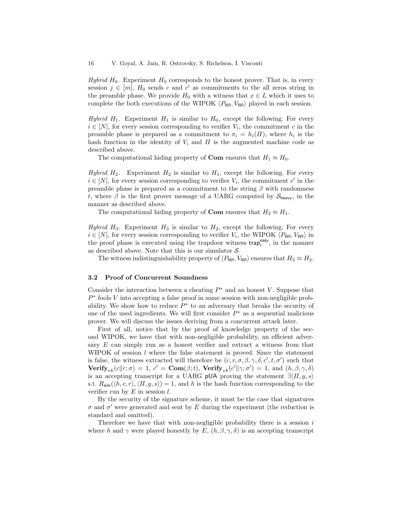*Hybrid*  $H_0$ . Experiment  $H_0$  corresponds to the honest prover. That is, in every session  $j \in [m]$ ,  $H_0$  sends c and c' as commitments to the all zeros string in the preamble phase. We provide  $H_0$  with a witness that  $x \in L$  which it uses to complete the both executions of the WIPOK  $\langle P_{\mathsf{W}\mathsf{I}}, V_{\mathsf{W}\mathsf{I}} \rangle$  played in each session.

Hybrid  $H_1$ . Experiment  $H_1$  is similar to  $H_0$ , except the following. For every  $i \in [N]$ , for every session corresponding to verifier  $V_i$ , the commitment c in the preamble phase is prepared as a commitment to  $\pi_i = h_i(\Pi)$ , where  $h_i$  is the hash function in the identity of  $V_i$  and  $\Pi$  is the augmented machine code as described above.

The computational hiding property of **Com** ensures that  $H_1 \approx H_0$ .

Hybrid  $H_2$ . Experiment  $H_2$  is similar to  $H_1$ , except the following. For every  $i \in [N]$ , for every session corresponding to verifier  $V_i$ , the commitment c' in the preamble phase is prepared as a commitment to the string  $\beta$  with randomness t, where  $\beta$  is the first prover message of a UARG computed by  $S_{\text{heavy}}$ , in the manner as described above.

The computational hiding property of **Com** ensures that  $H_2 \approx H_1$ .

Hybrid  $H_3$ . Experiment  $H_3$  is similar to  $H_2$ , except the following. For every  $i \in [N]$ , for every session corresponding to verifier  $V_i$ , the WIPOK  $\langle P_{\mathsf{W1}}, V_{\mathsf{W1}} \rangle$  in the proof phase is executed using the trapdoor witness  $\text{trap}_i^{\text{easy}},$  in the manner as described above. Note that this is our simulator  $S$ .

The witness indistinguishability property of  $\langle P_{\text{WI}}$ ,  $V_{\text{WI}}$  ensures that  $H_3 \approx H_2$ .

### <span id="page-15-0"></span>3.2 Proof of Concurrent Soundness

Consider the interaction between a cheating  $P^*$  and an honest V. Suppose that  $P^*$  fools V into accepting a false proof in some session with non-negligible probability. We show how to reduce  $P^*$  to an adversary that breaks the security of one of the used ingredients. We will first consider  $P^*$  as a sequential malicious prover. We will discuss the issues deriving from a concurrent attack later.

First of all, notice that by the proof of knowledge property of the second WIPOK, we have that with non-negligible probability, an efficient adversary E can simply run as a honest verifier and extract a witness from that WIPOK of session  $l$  where the false statement is proved. Since the statement is false, the witness extracted will therefore be  $(c, r, \sigma, \beta, \gamma, \delta, c', t, \sigma')$  such that  $\text{Verify}_{vk}(c||r;\sigma) = 1, c' = \text{Com}(\beta; t), \text{ Verify}_{vk}(c'||\gamma;\sigma') = 1, \text{ and } (h, \beta, \gamma, \delta)$ is an accepting transcript for a UARG pUA proving the statement  $\exists \langle \Pi, y, s \rangle$ s.t.  $R_{\text{sim}}(\langle h, c, r \rangle, \langle H, y, s \rangle) = 1$ , and h is the hash function corresponding to the verifier run by  $E$  in session  $l$ .

By the security of the signature scheme, it must be the case that signatures  $\sigma$  and  $\sigma'$  were generated and sent by E during the experiment (the reduction is standard and omitted).

Therefore we have that with non-negligible probability there is a session  $i$ where h and  $\gamma$  were played honestly by E,  $(h, \beta, \gamma, \delta)$  is an accepting transcript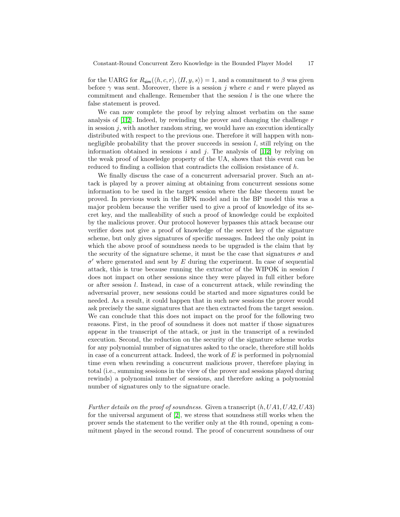for the UARG for  $R_{\text{sim}}(\langle h, c, r \rangle, \langle H, y, s \rangle) = 1$ , and a commitment to  $\beta$  was given before  $\gamma$  was sent. Moreover, there is a session j where c and r were played as commitment and challenge. Remember that the session  $l$  is the one where the false statement is proved.

We can now complete the proof by relying almost verbatim on the same analysis of  $[1,2]$  $[1,2]$ . Indeed, by rewinding the prover and changing the challenge r in session  $j$ , with another random string, we would have an execution identically distributed with respect to the previous one. Therefore it will happen with nonnegligible probability that the prover succeeds in session  $l$ , still relying on the information obtained in sessions i and j. The analysis of  $[1,2]$  $[1,2]$  by relying on the weak proof of knowledge property of the UA, shows that this event can be reduced to finding a collision that contradicts the collision resistance of  $h$ .

We finally discuss the case of a concurrent adversarial prover. Such an attack is played by a prover aiming at obtaining from concurrent sessions some information to be used in the target session where the false theorem must be proved. In previous work in the BPK model and in the BP model this was a major problem because the verifier used to give a proof of knowledge of its secret key, and the malleability of such a proof of knowledge could be exploited by the malicious prover. Our protocol however bypasses this attack because our verifier does not give a proof of knowledge of the secret key of the signature scheme, but only gives signatures of specific messages. Indeed the only point in which the above proof of soundness needs to be upgraded is the claim that by the security of the signature scheme, it must be the case that signatures  $\sigma$  and  $\sigma'$  where generated and sent by E during the experiment. In case of sequential attack, this is true because running the extractor of the WIPOK in session  $l$ does not impact on other sessions since they were played in full either before or after session l. Instead, in case of a concurrent attack, while rewinding the adversarial prover, new sessions could be started and more signatures could be needed. As a result, it could happen that in such new sessions the prover would ask precisely the same signatures that are then extracted from the target session. We can conclude that this does not impact on the proof for the following two reasons. First, in the proof of soundness it does not matter if those signatures appear in the transcript of the attack, or just in the transcript of a rewinded execution. Second, the reduction on the security of the signature scheme works for any polynomial number of signatures asked to the oracle, therefore still holds in case of a concurrent attack. Indeed, the work of  $E$  is performed in polynomial time even when rewinding a concurrent malicious prover, therefore playing in total (i.e., summing sessions in the view of the prover and sessions played during rewinds) a polynomial number of sessions, and therefore asking a polynomial number of signatures only to the signature oracle.

Further details on the proof of soundness. Given a transcript  $(h, UA1, UA2, UA3)$ for the universal argument of [\[2\]](#page-17-6), we stress that soundness still works when the prover sends the statement to the verifier only at the 4th round, opening a commitment played in the second round. The proof of concurrent soundness of our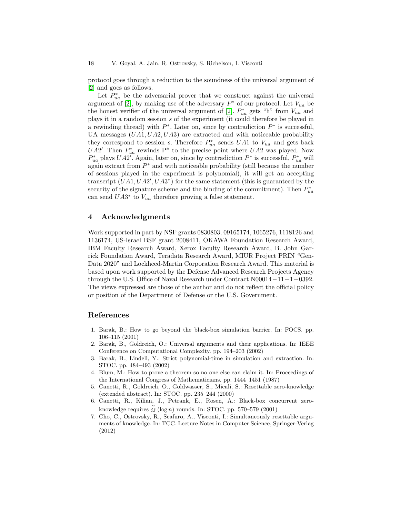protocol goes through a reduction to the soundness of the universal argument of [\[2\]](#page-17-6) and goes as follows.

Let  $P_{ua}^*$  be the adversarial prover that we construct against the universal argument of [\[2\]](#page-17-6), by making use of the adversary  $P^*$  of our protocol. Let  $V_{ua}$  be the honest verifier of the universal argument of [\[2\]](#page-17-6).  $P_{ua}^*$  gets "h" from  $V_{ua}$  and plays it in a random session s of the experiment (it could therefore be played in a rewinding thread) with  $P^*$ . Later on, since by contradiction  $P^*$  is successful, UA messages  $(UA1, UA2, UA3)$  are extracted and with noticeable probability they correspond to session s. Therefore  $P_{ua}^*$  sends  $UA1$  to  $V_{ua}$  and gets back UA2'. Then  $P_{ua}^*$  rewinds P<sup>\*</sup> to the precise point where UA2 was played. Now  $P_{ua}^*$  plays UA2'. Again, later on, since by contradiction  $P^*$  is successful,  $P_{ua}^*$  will again extract from  $P^*$  and with noticeable probability (still because the number of sessions played in the experiment is polynomial), it will get an accepting transcript  $(UA1, UA2', UA3^*)$  for the same statement (this is guaranteed by the security of the signature scheme and the binding of the commitment). Then  $P_{ua}^*$ can send  $U A3^*$  to  $V_{ua}$  therefore proving a false statement.

# 4 Acknowledgments

Work supported in part by NSF grants 0830803, 09165174, 1065276, 1118126 and 1136174, US-Israel BSF grant 2008411, OKAWA Foundation Research Award, IBM Faculty Research Award, Xerox Faculty Research Award, B. John Garrick Foundation Award, Teradata Research Award, MIUR Project PRIN "Gen-Data 2020" and Lockheed-Martin Corporation Research Award. This material is based upon work supported by the Defense Advanced Research Projects Agency through the U.S. Office of Naval Research under Contract N00014−11−1−0392. The views expressed are those of the author and do not reflect the official policy or position of the Department of Defense or the U.S. Government.

## References

- <span id="page-17-1"></span>1. Barak, B.: How to go beyond the black-box simulation barrier. In: FOCS. pp. 106–115 (2001)
- <span id="page-17-6"></span>2. Barak, B., Goldreich, O.: Universal arguments and their applications. In: IEEE Conference on Computational Complexity. pp. 194–203 (2002)
- <span id="page-17-3"></span>3. Barak, B., Lindell, Y.: Strict polynomial-time in simulation and extraction. In: STOC. pp. 484–493 (2002)
- <span id="page-17-5"></span>4. Blum, M.: How to prove a theorem so no one else can claim it. In: Proceedings of the International Congress of Mathematicians. pp. 1444–1451 (1987)
- <span id="page-17-2"></span>5. Canetti, R., Goldreich, O., Goldwasser, S., Micali, S.: Resettable zero-knowledge (extended abstract). In: STOC. pp. 235–244 (2000)
- <span id="page-17-0"></span>6. Canetti, R., Kilian, J., Petrank, E., Rosen, A.: Black-box concurrent zeroknowledge requires  $\stackrel{\sim}{\Omega}$  (log *n*) rounds. In: STOC. pp. 570–579 (2001)
- <span id="page-17-4"></span>7. Cho, C., Ostrovsky, R., Scafuro, A., Visconti, I.: Simultaneously resettable arguments of knowledge. In: TCC. Lecture Notes in Computer Science, Springer-Verlag (2012)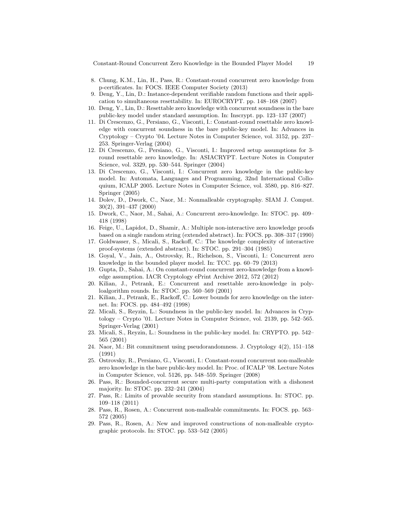Constant-Round Concurrent Zero Knowledge in the Bounded Player Model 19

- <span id="page-18-6"></span>8. Chung, K.M., Lin, H., Pass, R.: Constant-round concurrent zero knowledge from p-certificates. In: FOCS. IEEE Computer Society (2013)
- <span id="page-18-15"></span>9. Deng, Y., Lin, D.: Instance-dependent verifiable random functions and their application to simultaneous resettability. In: EUROCRYPT. pp. 148–168 (2007)
- <span id="page-18-16"></span>10. Deng, Y., Lin, D.: Resettable zero knowledge with concurrent soundness in the bare public-key model under standard assumption. In: Inscrypt. pp. 123–137 (2007)
- <span id="page-18-14"></span>11. Di Crescenzo, G., Persiano, G., Visconti, I.: Constant-round resettable zero knowledge with concurrent soundness in the bare public-key model. In: Advances in Cryptology – Crypto '04. Lecture Notes in Computer Science, vol. 3152, pp. 237– 253. Springer-Verlag (2004)
- <span id="page-18-10"></span>12. Di Crescenzo, G., Persiano, G., Visconti, I.: Improved setup assumptions for 3 round resettable zero knowledge. In: ASIACRYPT. Lecture Notes in Computer Science, vol. 3329, pp. 530–544. Springer (2004)
- <span id="page-18-11"></span>13. Di Crescenzo, G., Visconti, I.: Concurrent zero knowledge in the public-key model. In: Automata, Languages and Programming, 32nd International Colloquium, ICALP 2005. Lecture Notes in Computer Science, vol. 3580, pp. 816–827. Springer (2005)
- <span id="page-18-7"></span>14. Dolev, D., Dwork, C., Naor, M.: Nonmalleable cryptography. SIAM J. Comput. 30(2), 391–437 (2000)
- <span id="page-18-2"></span>15. Dwork, C., Naor, M., Sahai, A.: Concurrent zero-knowledge. In: STOC. pp. 409– 418 (1998)
- <span id="page-18-9"></span>16. Feige, U., Lapidot, D., Shamir, A.: Multiple non-interactive zero knowledge proofs based on a single random string (extended abstract). In: FOCS. pp. 308–317 (1990)
- <span id="page-18-1"></span>17. Goldwasser, S., Micali, S., Rackoff, C.: The knowledge complexity of interactive proof-systems (extended abstract). In: STOC. pp. 291–304 (1985)
- <span id="page-18-0"></span>18. Goyal, V., Jain, A., Ostrovsky, R., Richelson, S., Visconti, I.: Concurrent zero knowledge in the bounded player model. In: TCC. pp. 60–79 (2013)
- <span id="page-18-5"></span>19. Gupta, D., Sahai, A.: On constant-round concurrent zero-knowledge from a knowledge assumption. IACR Cryptology ePrint Archive 2012, 572 (2012)
- <span id="page-18-4"></span>20. Kilian, J., Petrank, E.: Concurrent and resettable zero-knowledge in polyloalgorithm rounds. In: STOC. pp. 560–569 (2001)
- <span id="page-18-3"></span>21. Kilian, J., Petrank, E., Rackoff, C.: Lower bounds for zero knowledge on the internet. In: FOCS. pp. 484–492 (1998)
- <span id="page-18-13"></span>22. Micali, S., Reyzin, L.: Soundness in the public-key model. In: Advances in Cryptology – Crypto '01. Lecture Notes in Computer Science, vol. 2139, pp. 542–565. Springer-Verlag (2001)
- <span id="page-18-21"></span>23. Micali, S., Reyzin, L.: Soundness in the public-key model. In: CRYPTO. pp. 542– 565 (2001)
- <span id="page-18-17"></span>24. Naor, M.: Bit commitment using pseudorandomness. J. Cryptology 4(2), 151–158 (1991)
- <span id="page-18-12"></span>25. Ostrovsky, R., Persiano, G., Visconti, I.: Constant-round concurrent non-malleable zero knowledge in the bare public-key model. In: Proc. of ICALP '08. Lecture Notes in Computer Science, vol. 5126, pp. 548–559. Springer (2008)
- <span id="page-18-19"></span>26. Pass, R.: Bounded-concurrent secure multi-party computation with a dishonest majority. In: STOC. pp. 232–241 (2004)
- <span id="page-18-8"></span>27. Pass, R.: Limits of provable security from standard assumptions. In: STOC. pp. 109–118 (2011)
- <span id="page-18-18"></span>28. Pass, R., Rosen, A.: Concurrent non-malleable commitments. In: FOCS. pp. 563– 572 (2005)
- <span id="page-18-20"></span>29. Pass, R., Rosen, A.: New and improved constructions of non-malleable cryptographic protocols. In: STOC. pp. 533–542 (2005)